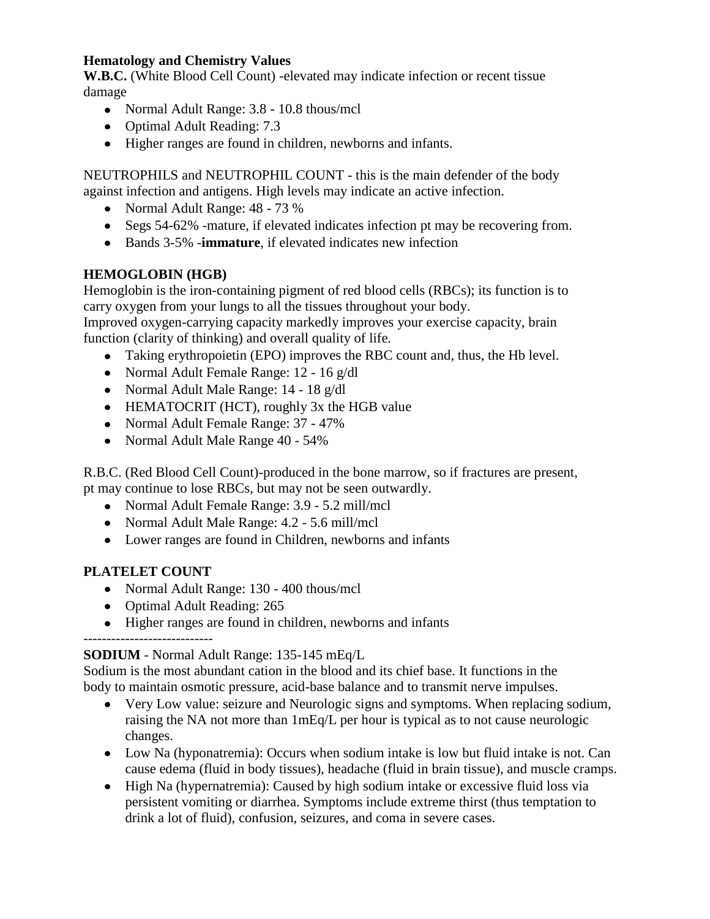#### **Hematology and Chemistry Values**

**W.B.C.** (White Blood Cell Count) -elevated may indicate infection or recent tissue damage

- Normal Adult Range: 3.8 10.8 thous/mcl
- Optimal Adult Reading: 7.3
- Higher ranges are found in children, newborns and infants.

NEUTROPHILS and NEUTROPHIL COUNT - this is the main defender of the body against infection and antigens. High levels may indicate an active infection.

- Normal Adult Range: 48 73 %
- Segs 54-62% -mature, if elevated indicates infection pt may be recovering from.
- Bands 3-5% -**immature**, if elevated indicates new infection

### **HEMOGLOBIN (HGB)**

Hemoglobin is the iron-containing pigment of red blood cells (RBCs); its function is to carry oxygen from your lungs to all the tissues throughout your body.

Improved oxygen-carrying capacity markedly improves your exercise capacity, brain function (clarity of thinking) and overall quality of life.

- Taking erythropoietin (EPO) improves the RBC count and, thus, the Hb level.
- Normal Adult Female Range: 12 16 g/dl
- Normal Adult Male Range: 14 18 g/dl
- HEMATOCRIT (HCT), roughly 3x the HGB value
- Normal Adult Female Range: 37 47%
- Normal Adult Male Range 40 54%

R.B.C. (Red Blood Cell Count)-produced in the bone marrow, so if fractures are present, pt may continue to lose RBCs, but may not be seen outwardly.

- Normal Adult Female Range: 3.9 5.2 mill/mcl
- Normal Adult Male Range: 4.2 5.6 mill/mcl
- Lower ranges are found in Children, newborns and infants

### **PLATELET COUNT**

- Normal Adult Range: 130 400 thous/mcl
- Optimal Adult Reading: 265
- Higher ranges are found in children, newborns and infants

### ----------------------------

#### **SODIUM** - Normal Adult Range: 135-145 mEq/L

Sodium is the most abundant cation in the blood and its chief base. It functions in the body to maintain osmotic pressure, acid-base balance and to transmit nerve impulses.

- Very Low value: seizure and Neurologic signs and symptoms. When replacing sodium, raising the NA not more than 1mEq/L per hour is typical as to not cause neurologic changes.
- Low Na (hyponatremia): Occurs when sodium intake is low but fluid intake is not. Can cause edema (fluid in body tissues), headache (fluid in brain tissue), and muscle cramps.
- High Na (hypernatremia): Caused by high sodium intake or excessive fluid loss via persistent vomiting or diarrhea. Symptoms include extreme thirst (thus temptation to drink a lot of fluid), confusion, seizures, and coma in severe cases.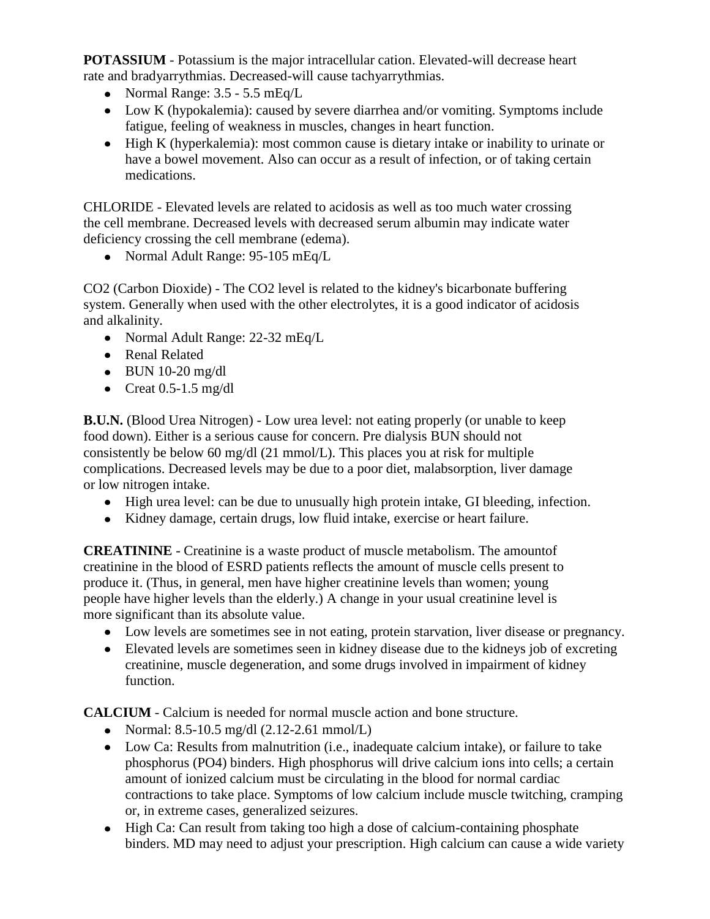**POTASSIUM** - Potassium is the major intracellular cation. Elevated-will decrease heart rate and bradyarrythmias. Decreased-will cause tachyarrythmias.

- Normal Range:  $3.5 5.5$  mEq/L
- Low K (hypokalemia): caused by severe diarrhea and/or vomiting. Symptoms include fatigue, feeling of weakness in muscles, changes in heart function.
- High K (hyperkalemia): most common cause is dietary intake or inability to urinate or have a bowel movement. Also can occur as a result of infection, or of taking certain medications.

CHLORIDE - Elevated levels are related to acidosis as well as too much water crossing the cell membrane. Decreased levels with decreased serum albumin may indicate water deficiency crossing the cell membrane (edema).

• Normal Adult Range: 95-105 mEq/L

CO2 (Carbon Dioxide) - The CO2 level is related to the kidney's bicarbonate buffering system. Generally when used with the other electrolytes, it is a good indicator of acidosis and alkalinity.

- Normal Adult Range: 22-32 mEq/L
- Renal Related
- $\bullet$  BUN 10-20 mg/dl
- Creat  $0.5-1.5$  mg/dl

**B.U.N.** (Blood Urea Nitrogen) - Low urea level: not eating properly (or unable to keep food down). Either is a serious cause for concern. Pre dialysis BUN should not consistently be below 60 mg/dl (21 mmol/L). This places you at risk for multiple complications. Decreased levels may be due to a poor diet, malabsorption, liver damage or low nitrogen intake.

- High urea level: can be due to unusually high protein intake, GI bleeding, infection.
- Kidney damage, certain drugs, low fluid intake, exercise or heart failure.

**CREATININE** - Creatinine is a waste product of muscle metabolism. The amountof creatinine in the blood of ESRD patients reflects the amount of muscle cells present to produce it. (Thus, in general, men have higher creatinine levels than women; young people have higher levels than the elderly.) A change in your usual creatinine level is more significant than its absolute value.

- Low levels are sometimes see in not eating, protein starvation, liver disease or pregnancy.
- Elevated levels are sometimes seen in kidney disease due to the kidneys job of excreting creatinine, muscle degeneration, and some drugs involved in impairment of kidney function.

**CALCIUM** - Calcium is needed for normal muscle action and bone structure.

- Normal:  $8.5-10.5$  mg/dl  $(2.12-2.61$  mmol/L)
- Low Ca: Results from malnutrition (i.e., inadequate calcium intake), or failure to take phosphorus (PO4) binders. High phosphorus will drive calcium ions into cells; a certain amount of ionized calcium must be circulating in the blood for normal cardiac contractions to take place. Symptoms of low calcium include muscle twitching, cramping or, in extreme cases, generalized seizures.
- High Ca: Can result from taking too high a dose of calcium-containing phosphate binders. MD may need to adjust your prescription. High calcium can cause a wide variety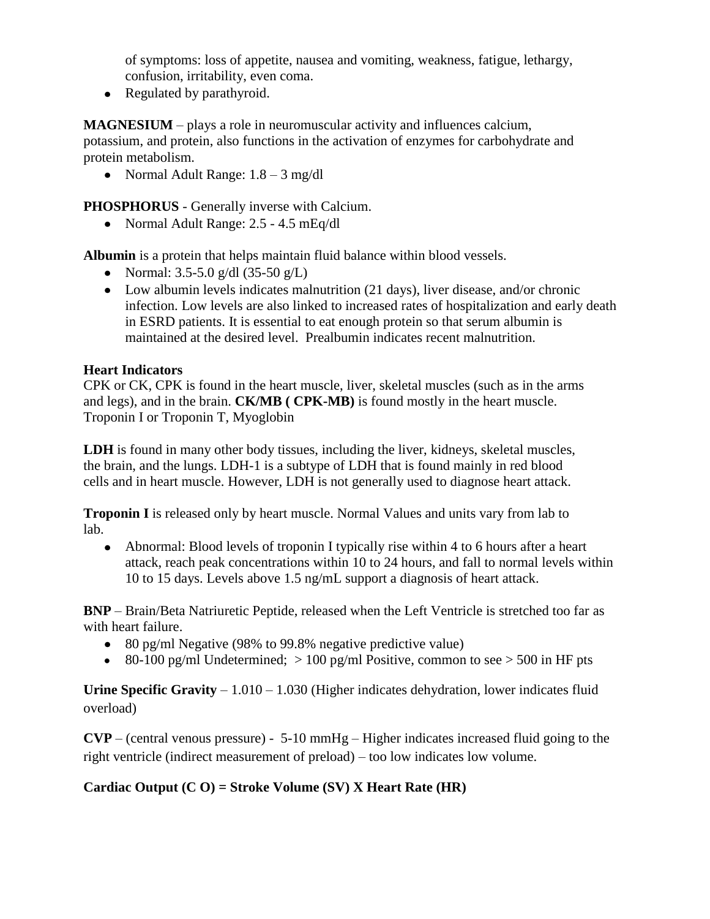of symptoms: loss of appetite, nausea and vomiting, weakness, fatigue, lethargy, confusion, irritability, even coma.

• Regulated by parathyroid.

**MAGNESIUM** – plays a role in neuromuscular activity and influences calcium,

potassium, and protein, also functions in the activation of enzymes for carbohydrate and protein metabolism.

• Normal Adult Range:  $1.8 - 3$  mg/dl

**PHOSPHORUS** - Generally inverse with Calcium.

• Normal Adult Range: 2.5 - 4.5 mEq/dl

**Albumin** is a protein that helps maintain fluid balance within blood vessels.

- Normal:  $3.5 5.0$  g/dl  $(35 50$  g/L)
- Low albumin levels indicates malnutrition (21 days), liver disease, and/or chronic infection. Low levels are also linked to increased rates of hospitalization and early death in ESRD patients. It is essential to eat enough protein so that serum albumin is maintained at the desired level. Prealbumin indicates recent malnutrition.

#### **Heart Indicators**

CPK or CK, CPK is found in the heart muscle, liver, skeletal muscles (such as in the arms and legs), and in the brain. **CK/MB ( CPK-MB)** is found mostly in the heart muscle. Troponin I or Troponin T, Myoglobin

**LDH** is found in many other body tissues, including the liver, kidneys, skeletal muscles, the brain, and the lungs. LDH-1 is a subtype of LDH that is found mainly in red blood cells and in heart muscle. However, LDH is not generally used to diagnose heart attack.

**Troponin I** is released only by heart muscle. Normal Values and units vary from lab to lab.

• Abnormal: Blood levels of troponin I typically rise within 4 to 6 hours after a heart attack, reach peak concentrations within 10 to 24 hours, and fall to normal levels within 10 to 15 days. Levels above 1.5 ng/mL support a diagnosis of heart attack.

**BNP** – Brain/Beta Natriuretic Peptide, released when the Left Ventricle is stretched too far as with heart failure.

- 80 pg/ml Negative (98% to 99.8% negative predictive value)
- 80-100 pg/ml Undetermined;  $> 100$  pg/ml Positive, common to see  $> 500$  in HF pts

**Urine Specific Gravity** – 1.010 – 1.030 (Higher indicates dehydration, lower indicates fluid overload)

**CVP** – (central venous pressure) - 5-10 mmHg – Higher indicates increased fluid going to the right ventricle (indirect measurement of preload) – too low indicates low volume.

#### **Cardiac Output (C O) = Stroke Volume (SV) X Heart Rate (HR)**